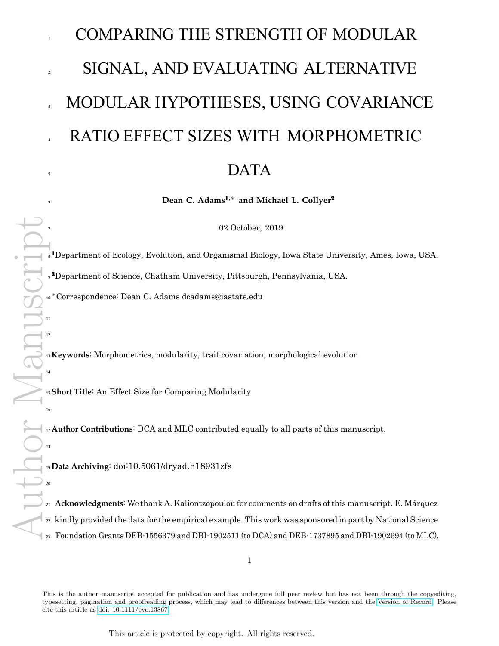## COMPARING THE STRENGTH OF MODULAR SIGNAL, AND EVALUATING ALTERNATIVE MODULAR HYPOTHESES, USING COVARIANCE RATIO EFFECT SIZES WITH MORPHOMETRIC  $\overline{\text{DATA}}$

**Dean C. Adams**<sup>1</sup>*,*<sup>∗</sup> **and Michael L. Collyer**<sup>2</sup>

02 October, 2019

1Department of Ecology, Evolution, and Organismal Biology, Iowa State University, Ames, Iowa, USA.

2Department of Science, Chatham University, Pittsburgh, Pennsylvania, USA.

∗Correspondence: Dean C. Adams dcadams@iastate.edu

**Keywords**: Morphometrics, modularity, trait covariation, morphological evolution

**Short Title**: An Effect Size for Comparing Modularity

**Author Contributions**: DCA and MLC contributed equally to all parts of this manuscript.

**Data Archiving**: doi:10.5061/dryad.h18931zfs

**Acknowledgments**: We thank A. Kaliontzopoulou for comments on drafts of this manuscript. E. Márquez <sub>22</sub> kindly provided the data for the empirical example. This work was sponsored in part by National Science Foundation Grants DEB-1556379 and DBI-1902511 (to DCA) and DEB-1737895 and DBI-1902694 (to MLC).

This is the author manuscript accepted for publication and has undergone full peer review but has not been through the copyediting, typesetting, pagination and proofreading process, which may lead to differences between this version and the [Version of Record.](https://doi.org/10.1111/evo.13867) Please cite this article as [doi: 10.1111/evo.13867](https://doi.org/10.1111/evo.13867)

This article is protected by copyright. All rights reserved.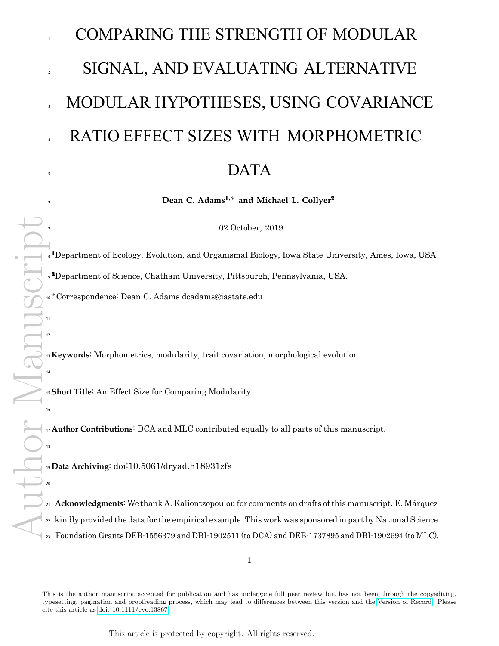## <sup>25</sup> **Introduction**

<sup>26</sup> Characterizing the extent to which phenotypic traits covary, and deciphering the forces that shape patterns <sup>27</sup> of trait covariation, are perennial topics in evolutionary biology. Empirical research has demonstrated <sup>28</sup> that patterns of covariation are unevenly dispersed across traits, with some variables exhibiting high <sup>29</sup> correlations with one another while other traits are more independent (Olson and Miller 1958; Cheverud 1996; <sup>30</sup> Klingenberg 2008; Goswami and Polly 2010). Indeed, studies of morphological integration and modularity 31 are largely concerned with how these trait correlations are distributed, and the extent to which they are <sup>32</sup> driven by developmental, genetic, or functional linkages among traits (Olson and Miller 1958; Wagner 1984). 33 In particular, modularity describes patterns where trait correlations are high within subsets of variables, <sup>34</sup> termed *modules*, and where trait correlations across modules are comparatively weaker (Cheverud 1982; 35 Goswami 2006; Wagner et al. 2007). Patterns of modularity therefore result in sets of semi-autonomous 36 traits, which have the potential to respond di erentially to natural selection, and thus the capacity to 37 promote the evolution of novelty (see Wagner and Altenberg 1996; Wagner et al. 2007; Tokita et al. 2007; Hansen and Houle 2008; Clune et al. 2013).

The past several decades have seen resurging interest in understanding the evolution of modularity, and numerous analytical approaches have been developed for quantifying patterns of modularity in phenotypic <sup>42</sup> datasets (e.g., Magwene 2001; Mitteroecker and Bookstein 2007; Márquez 2008; Klingenberg 2009; Adams <sup>43</sup> 2016; Goswami and Finarelli 2016). Concomitant with these advances is an increasing number of empirical 44 studies that characterize patterns of modularity in distinct phenotypic traits, and across a wide variety of <sup>45</sup> taxa (for recent examples, see: Parsons et al. 2012; Parr et al. 2016; Felice and Goswami 2018; Larouche et al. 2018; Bardua et al. 2019). Likewise, evolutionary biologists have striven to decipher whether patterns <sup>47</sup> of modularity are similar among taxa and traits, and across levels of biological organization (Drake and <sup>48</sup> Klingenberg 2010; Renaud et al. 2012; Sanger et al. 2012; Felice and Goswami 2018; Bardua et al. 2019; <sup>49</sup> Marshall et al. 2019). Some studies have investigated whether patterns of modularity are conserved across <sup>50</sup> taxa (e.g., Goswami 2006; Marshall et al. 2019), however, direct quantitative or statistical comparisons of 51 modularity patterns are generally lacking. We assert that a critical aspect of this endeavor should be to <sup>52</sup> determine whether the *strength* of modularity is similar across datasets. However, to our knowledge, no 53 formal statistical procedure has yet been proposed to accomplish this task.

54

<sup>55</sup> Another key challenge in the study of modularity is identifying which sets of traits represent anatomical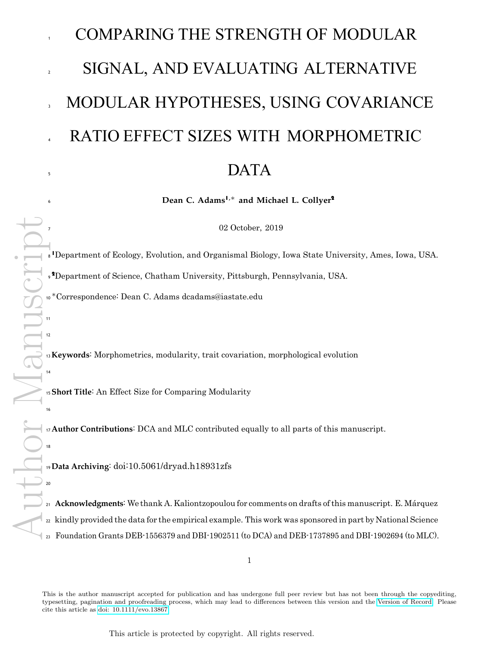<sup>56</sup> modules (Zelditch et al. 1990; Hallgrimsson et al. 2007). Biologically, one expects that traits subjected to 57 common processes may exhibit high correlations with one another, resulting in modular structure (Olson <sup>58</sup> and Miller 1958; Wagner 1984; Cheverud 1996; Goswami and Polly 2010). However, phenotypic traits are <sub>59</sub> influenced by an array of genetic, developmental, and functional forces, not all of which act similarly. Thus, <sup>60</sup> it is reasonable to expect that multiple, competing modular hypotheses may be proposed for the same set of <sup>61</sup> anatomical traits (e.g., Márquez 2008; Goswami and Finarelli 2016; Felice and Goswami 2018; Bardua et  $62$  al. 2019). This then raises the question: which of the alternative modular hypotheses provides the best 63 description of the observed patterns of trait covariation? Several recent attempts to address this problem <sup>64</sup> (e.g., Márquez 2008; Goswami and Finarelli 2016) have greatly sharpened our notions of modularity, and <sup>65</sup> provided insights as to how phenotypic variation may be expected to evolve. For instance, one attempt (MINT: Márquez 2008) uses goodness of fit measures to evaluate alternative modular hypotheses, while another 67 approach (EMMLi: Goswami and Finarelli 2016) uses penalized likelihood indices (AICc) to evaluate the fit of 68 alternative modular hypotheses to the observed trait correlations.

 $70$  Nonetheless, these approaches do not provide a complete analytical toolkit for evaluating alternative modular hypotheses for the full spectrum of phenotypic datasets evolutionary biologists wish to examine. One <sup>72</sup> reason for this is that initial investigations into their performance were relatively limited, and suggested 73 that future improvements or alternatives may be required. For example, simulations revealed that MINT  $74$  tended to identify modular patterns when none existed in the data, suggesting that false positives may <sup>75</sup> be a concern (Márquez 2008: Table 3). Likewise, initial investigations found that EMMLi tended to select <sup>76</sup> highly paramaterized models [Goswami and Finarelli (2016); Goswami pers. comm.], suggesting that it  $77$  may display some degree of model misspecification. However, to date, an evaluation of both approaches 78 under a broad set of plausible scenarios has not been conducted, nor has their performance been directly compared (see below). As a consequence, it remains possible that neither approach provides a reliable means 80 of evaluating patterns of modular structure, thereby reducing one's ability to identify evolutionary trends in 81 trait covariation. Therefore, we suggest that a second pressing analytical need in the study of modularity is the development of robust statistical methods for comparing the strength of modular signal across alternative 83 modular hypotheses for the same dataset.

85 In this article, we develop a single statistical tool that accomplishes both of these tasks. Our approach utilizes 86 a standardized test statistic (an e ect size:  $Z_{CR}$ ) for measuring the degree of modularity between sets of 87 variables, and for comparing these e ect sizes statistically. Our procedure is based on the covariance ratio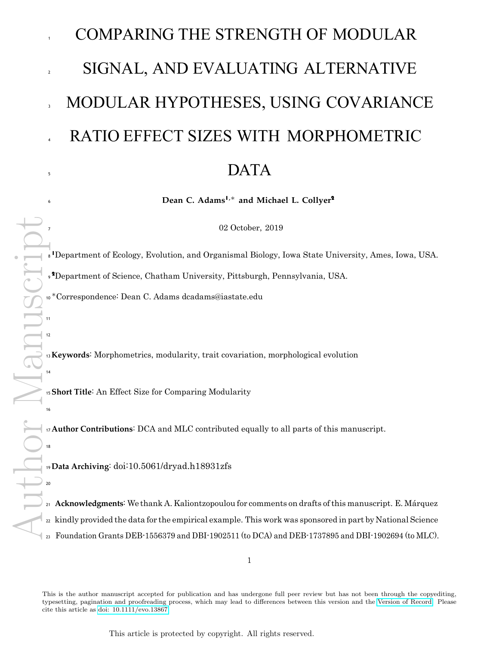88 (Adams 2016), and may be used for comparing the strength of modular signal across datasets, as well as for 89 evaluating patterns of modular signal as defined by alternative modular hypotheses for the same dataset. <sup>90</sup> Using computer simulations we evaluate the statistical properties of tests based on *ZCR*, and find that 91 they display appropriate type I error rates, high statistical power, and low levels of model misspecification. <sup>92</sup> Thus, when modular signal is present, *ZCR* is unlikely to mis-assign that signal to an incorrect modular 93 hypothesis. We then compare these results to those found using two alternative methods for comparing <sup>94</sup> modular hypotheses: MINT (Márquez 2008) and EMMLi (Goswami and Finarelli 2016). We find that both <sup>95</sup> exhibit poor statistical performance (very high false positive rates, and high model misspecification rates), <sup>96</sup> making it challenging to arrive at reliable biological inferences when using these approaches. We illustrate <sup>97</sup> the utility of *ZCR* with an empirical example of mandible shape in sigmodontine rodents, where alternative <sup>98</sup> modular hypotheses, and the strength of modular signal across several species, is compared. Our new method <sup>99</sup> is implemented in R, and is distributed through the package geomorph (Adams et al. 2019). Finally, the  $1_{100}$  method can accommodate future analytical developments for characterizing modular signal as they are 101 developed (see Discussion).

## **Methods**

## **Analytical Development**

*Covariance Ratio E ect Sizes (Z<sub>CR</sub>*): One approach to quantifying the degree of modular signal in morpho-<sup>105</sup> metric datasets is based on the covariance ratio (Adams 2016). This measure is preferable to alternative 106 estimates, such as the RV coe cient (sensu: Klingenberg 2009), because it is insensitive to the number of <sup>107</sup> variables (*p*) and the number of specimens (*n*) (Adams 2016). To calculate the covariance ratio (*CR*), one first concatenates the variables for all modules into an  $n \times p$  matrix (Y). At a minimum, the variables are 109 represented as mean-centered data, implying that they are residuals from an intercept model. However,  $\vert_{110}$  one could also perform additional transformations to the data, such as a phylogenetic transformation (e.g., <sup>111</sup> Garland and Ives 2000; Adams 2014; Adams and Collyer 2018a) to account for non-independence among 112 objects as a result of shared evolutionary history (see Adams and Felice 2014 for a related approach measuring <sup>113</sup> morphological integration in a phylogenetic context). Using this concatenated dataset, the covariance ratio  $\mathbb{I}_{114}$  for the observed data is found as: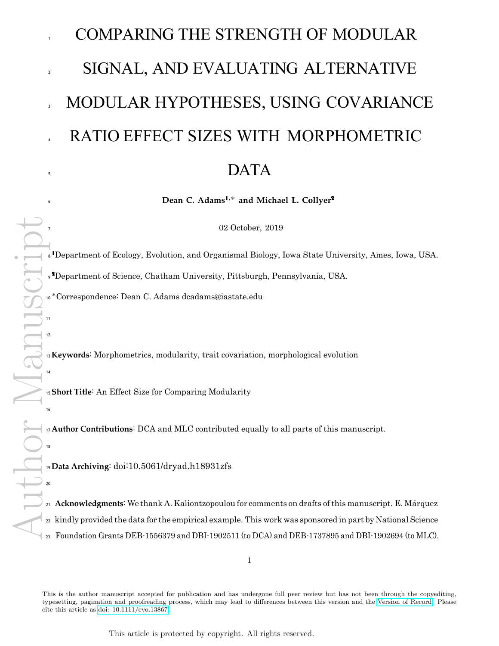$$
CR = \frac{tr(S_{12}S_{21})}{tr(S_{11}^*S_{11}^*)tr(S_{22}^*S_{22}^*)}
$$
\n(1)

115 where  $S_{11}^*$  &  $S_{22}^*$  represent the within-module covariance matrices for each of two modules (with zeroes  $_{116}$  replacing the diagonal elements), and  $S_{21} = S_{12}^T$  represents the covariation between modules  $Y_1$  and  $Y_2$ . 117 For datasets containing more than two modules, the *CR* coe cient is calculated for each pair of modules, 118 and the average pairwise *CR* coe cient is used (see Adams 2016). Empirically, the *CR* coe cient has a <sup>119</sup> lower limit of 0, an expected value of 1 when there is no modularity, and values greater than 1 are also <sup>120</sup> possible if covariances between module variables exceed covariances within modules. Thus, *CR* values that 121 are closer to 0 describe datasets with a relatively greater degree of modularity, while *CR* values closer to <sup>122</sup> 1 describe datasets with less modular signal. To evaluate *CR* statistically, a resampling procedure that <sup>4</sup><sup>123</sup> randomly assigns variables to modules is used, and in each iteration a *CR<sub>rand</sub>* is obtained under the null <sup>124</sup> hypothesis of no modularity. The observed value, *CRobs*, is then compared to the empirically-generated <sup>125</sup> sampling distribution of *CRrand* values to evaluate significance (for details see: Adams 2016). 126

127 The permutation procedure above is su cient to statistically determine whether the degree of modular signal is greater than expected by chance for a single dataset, but evaluating modular signals across datasets  $_{129}$  requires a standardized e ect size to ensure statistical comparability. To accomplish this, we make use  $\blacksquare$ <sup>130</sup> of prior theoretical developments for e ect sizes obtained from statistics from multivariate data and their <sup>131</sup> empirical sampling distributions (Collyer et al. 2015; Adams and Collyer 2016). Previous studies used residual <sup>132</sup> randomization in permutation procedures (RRPP) to generate sampling distributions. The important insight 133 from Collyer et al. (2015) was that a permutation-based e ect size may be obtained from any observed test 134 statistic, found in relation to the mean and standard deviation of its empirical sampling distribution obtained <sup>135</sup> from RRPP. Although the resampling procedure for generating sampling distributions of the *CR* statistic is 136 di erent than RRPP, the concept of using the random outcomes to evaluate the size of the observed e ect is 137 the same. Thus, for the case of the covariance ratio, this e ect size is obtained as:

$$
Z_{CR} = \frac{CR_{obs} - \hat{\mu}_r}{r}
$$
 (2)

<sup>138</sup> where *CRobs* is the observed covariance ratio for the dataset, *µ*ˆ*<sup>r</sup>* is the expected value of *CR* under the

This article is protected by copyright. All rights reserved.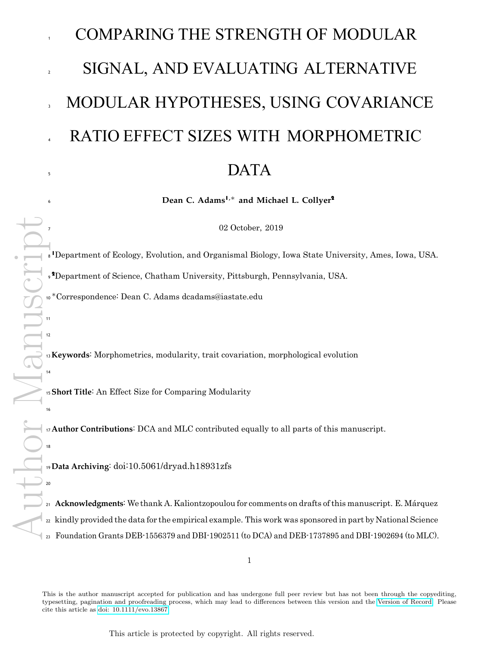null hypothesis of no modularity (found as the mean of the empirical sampling distribution), and ˆ*<sup>r</sup>* is the standard error of the mean, found as the standard deviation of the empirical sampling distribution. Note that the calculation of *ZCR* is the same regardless of how many modules are represented, because *CRobs* in equation 2 represents the average *CR* value obtained across all pairs of modules (see Adams 2016). One should recognize that more negative values of *ZCR* represent greater modular signal, because when modular signal is present, *CRobs* will be less than *µ*ˆ*r*.

145

Author Manuscript Importantly, it can be shown that *ZCR* is normally distributed, and thus represents a valid standardized 147 e ect size. To demonstrate this property we performed a simulation experiment, where 500 multivariate datasets were generated at a given *n* and *p*, and with all variates drawn from a normal distribution: N (0*,* 1). Next, variables were randomly assigned to modules, and both the *CR* and *ZCR* were obtained from each dataset, with *ZCR* obtained using 999 permutations. The mean and standard deviation of *ZCR* across the 500 datasets were then calculated, and the sampling experiment was repeated across differing levels of *n* and *p*. As is clear from Fig. 1, under the null hypothesis of no modularity (i.e., a random association of 153 variables to modules), the covariance ratio e ect size exhibits a constant expected value near zero, and <sub>154</sub> constant variance (inferred from the constant confidence interval) across the entire spectrum of sample sizes (*n*) and variable number (*p*). Furthermore, the distribution of *ZCR* values from the 500 datasets for any set of simulation conditions was also found to be normally distributed (Results not shown). Thus,  $Z_{CR}$  represents  $_{157}$  a valid standardized e ect size that characterizes the strength of modular signal in morphometric datasets.

<sup>159</sup> *A Two-Sample Z-Score for Comparing Modular Signals*: Once the degree of modular signal has been 160 characterized, one may wish to evaluate hypotheses that compare multiple e ect sizes. For hypotheses 161 of modularity, this is particularly useful in two biological contexts. First, it may be of interest to <sup>162</sup> determine whether the *strength* of modular signal is greater in one dataset as compared to another. To 163 date, no explicit analytical approach has been proposed to statistically compare the strength of modular 164 signal across datasets, though some studies have evaluated whether general patterns of modularity are <sup>165</sup> conserved across taxa (e.g., Goswami 2006; Sanger et al. 2012; Marshall et al. 2019). Second, if several 166 alternative modular hypotheses have been proposed for the same structure (based on developmental, 167 genetic, or functional grounds), it may be of interest to characterize the degree of modular signal 168 under each of these hypotheses and determine which provides the best description of the observed pat-<sup>169</sup> terns of morphological covariation (see Márquez 2008; Goswami and Finarelli 2016; Felice and Goswami 2018).

170

158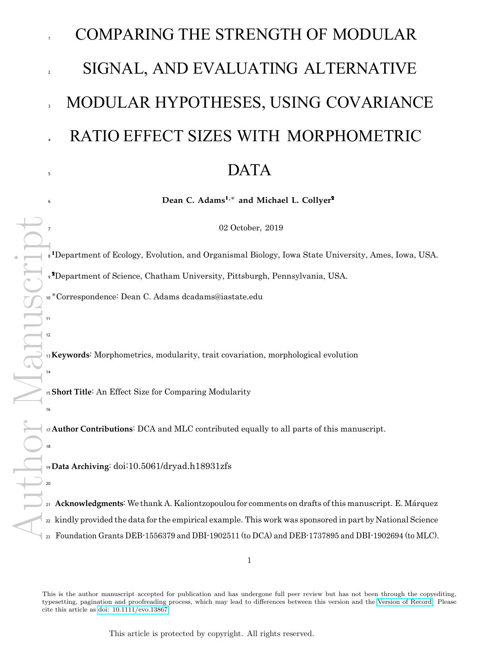

189x221mm (96 x 96 DPI)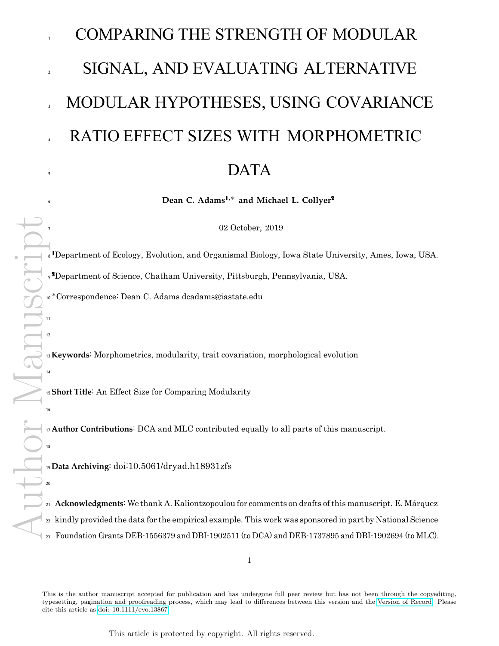

188x229mm (96 x 96 DPI)